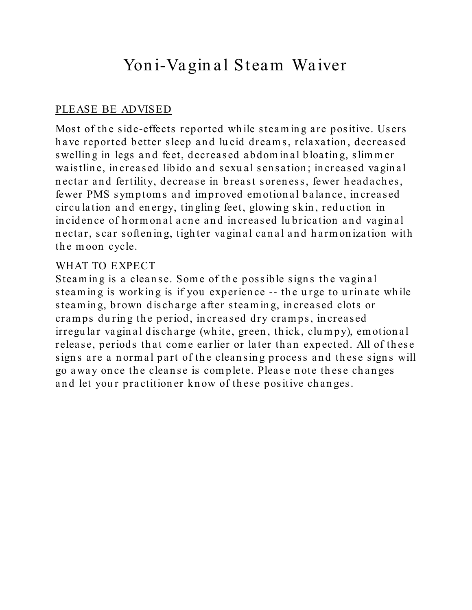# Yon i-Vagin al Steam Waiver

### PLEASE BE ADVISED

Most of the side-effects reported while steaming are positive. Users have reported better sleep and lucid dreams, relaxation, decreased swelling in legs and feet, decreased abdominal bloating, slimmer waistlin e, in creased libido an d sexu al sen sation ; in creased vagin al nectar and fertility, decrease in breast soreness, fewer headaches, fewer PMS symptoms and improved emotional balance, increased circu lation and energy, tingling feet, glowing skin, reduction in in cidence of hormonal acne and increased lubrication and vaginal n ectar, scar softening, tighter vaginal canal and harmonization with the moon cycle.

#### WHAT TO EXPECT

Steaming is a cleanse. Some of the possible signs the vaginal steaming is working is if you experience -- the urge to urinate while steaming, brown discharge after steaming, increased clots or cramps during the period, increased dry cramps, increased irregu lar vagin al discharge (white, green, thick, clumpy), emotional release, periods that come earlier or later than expected. All of these signs are a normal part of the cleansing process and these signs will go away on ce th e clean se is com plete. Please n ote th ese ch an ges and let your practitioner know of these positive changes.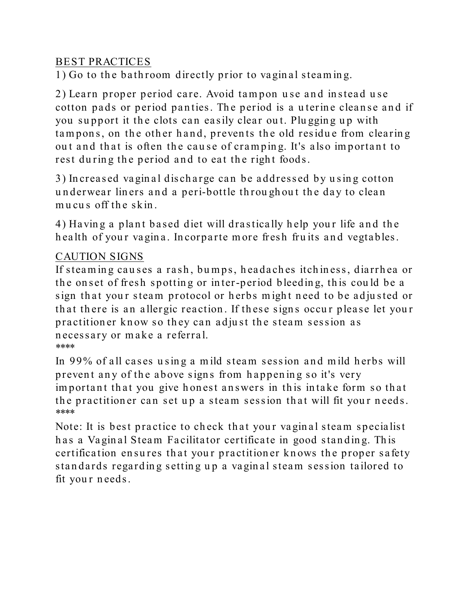#### BEST PRACTICES

 $1)$  Go to the bath room directly prior to vaginal steaming.

2) Learn proper period care. Avoid tampon use and instead use cotton pads or period panties. The period is a uterine cleanse and if you support it the clots can easily clear out. Plugging up with tampons, on the other hand, prevents the old residue from clearing out and that is often the cause of cramping. It's also important to rest during the period and to eat the right foods.

3) Increased vaginal discharge can be addressed by using cotton underwear liners and a peri-bottle throughout the day to clean mucus off the skin.

4) Having a plant based diet will drastically help your life and the health of your vagina. Incorparte more fresh fruits and vegtables.

## CAUTION SIGNS

If steaming causes a rash, bumps, headaches itchiness, diarrhea or the onset of fresh spotting or inter-period bleeding, this could be a sign that your steam protocol or herbs might need to be adjusted or that there is an allergic reaction. If these signs occur please let your practition er know so they can adjust the steam session as necessary or make a referral. \*\*\*\*

In 99% of all cases u sin g a m ild steam session an d m ild h erbs will prevent any of the above signs from happening so it's very important that you give honest answers in this intake form so that the practitioner can set up a steam session that will fit your needs. \*\*\*\*

Note: It is best practice to check that your vaginal steam specialist has a Vaginal Steam Facilitator certificate in good standing. This certification ensures that your practitioner knows the proper safety standards regarding setting up a vaginal steam session tailored to fit your needs.